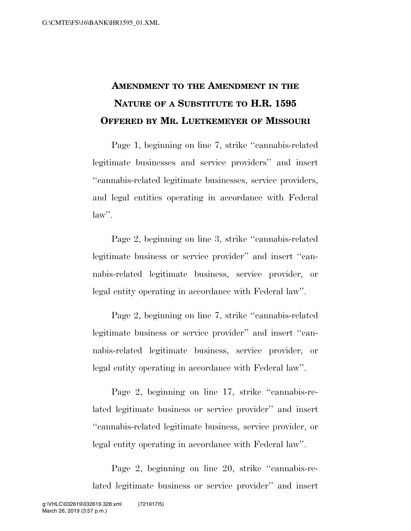## **AMENDMENT TO THE AMENDMENT IN THE NATURE OF A SUBSTITUTE TO H.R. 1595 OFFERED BY MR. LUETKEMEYER OF MISSOURI**

Page 1, beginning on line 7, strike ''cannabis-related legitimate businesses and service providers'' and insert ''cannabis-related legitimate businesses, service providers, and legal entities operating in accordance with Federal law''.

Page 2, beginning on line 3, strike ''cannabis-related legitimate business or service provider'' and insert ''cannabis-related legitimate business, service provider, or legal entity operating in accordance with Federal law''.

Page 2, beginning on line 7, strike ''cannabis-related legitimate business or service provider'' and insert ''cannabis-related legitimate business, service provider, or legal entity operating in accordance with Federal law''.

Page 2, beginning on line 17, strike "cannabis-related legitimate business or service provider'' and insert ''cannabis-related legitimate business, service provider, or legal entity operating in accordance with Federal law''.

Page 2, beginning on line 20, strike ''cannabis-related legitimate business or service provider'' and insert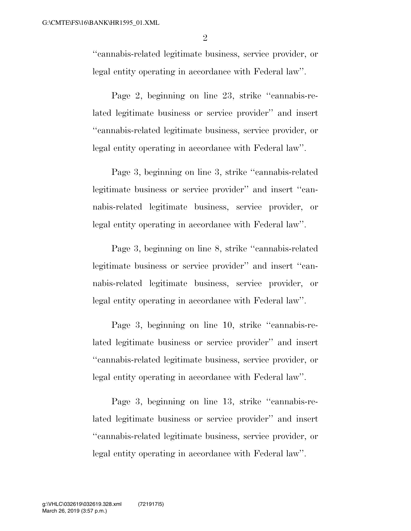''cannabis-related legitimate business, service provider, or legal entity operating in accordance with Federal law''.

Page 2, beginning on line 23, strike ''cannabis-related legitimate business or service provider'' and insert ''cannabis-related legitimate business, service provider, or legal entity operating in accordance with Federal law''.

Page 3, beginning on line 3, strike ''cannabis-related legitimate business or service provider'' and insert ''cannabis-related legitimate business, service provider, or legal entity operating in accordance with Federal law''.

Page 3, beginning on line 8, strike ''cannabis-related legitimate business or service provider'' and insert ''cannabis-related legitimate business, service provider, or legal entity operating in accordance with Federal law''.

Page 3, beginning on line 10, strike ''cannabis-related legitimate business or service provider'' and insert ''cannabis-related legitimate business, service provider, or legal entity operating in accordance with Federal law''.

Page 3, beginning on line 13, strike ''cannabis-related legitimate business or service provider'' and insert ''cannabis-related legitimate business, service provider, or legal entity operating in accordance with Federal law''.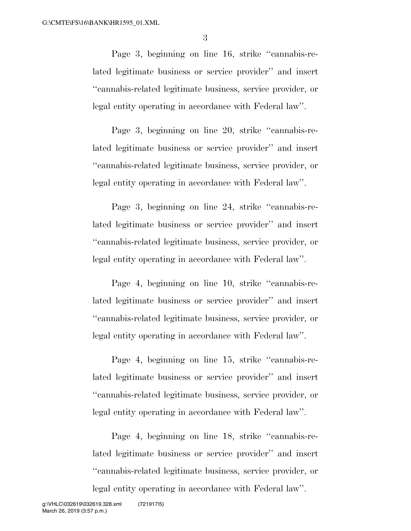3

Page 3, beginning on line 16, strike ''cannabis-related legitimate business or service provider'' and insert ''cannabis-related legitimate business, service provider, or legal entity operating in accordance with Federal law''.

Page 3, beginning on line 20, strike ''cannabis-related legitimate business or service provider'' and insert ''cannabis-related legitimate business, service provider, or legal entity operating in accordance with Federal law''.

Page 3, beginning on line 24, strike ''cannabis-related legitimate business or service provider'' and insert ''cannabis-related legitimate business, service provider, or legal entity operating in accordance with Federal law''.

Page 4, beginning on line 10, strike ''cannabis-related legitimate business or service provider'' and insert ''cannabis-related legitimate business, service provider, or legal entity operating in accordance with Federal law''.

Page 4, beginning on line 15, strike ''cannabis-related legitimate business or service provider'' and insert ''cannabis-related legitimate business, service provider, or legal entity operating in accordance with Federal law''.

Page 4, beginning on line 18, strike ''cannabis-related legitimate business or service provider'' and insert ''cannabis-related legitimate business, service provider, or legal entity operating in accordance with Federal law''.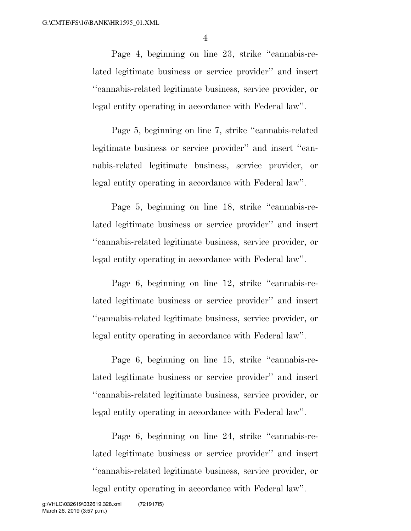4

Page 4, beginning on line 23, strike ''cannabis-related legitimate business or service provider'' and insert ''cannabis-related legitimate business, service provider, or legal entity operating in accordance with Federal law''.

Page 5, beginning on line 7, strike ''cannabis-related legitimate business or service provider'' and insert ''cannabis-related legitimate business, service provider, or legal entity operating in accordance with Federal law''.

Page 5, beginning on line 18, strike "cannabis-related legitimate business or service provider'' and insert ''cannabis-related legitimate business, service provider, or legal entity operating in accordance with Federal law''.

Page 6, beginning on line 12, strike ''cannabis-related legitimate business or service provider'' and insert ''cannabis-related legitimate business, service provider, or legal entity operating in accordance with Federal law''.

Page 6, beginning on line 15, strike ''cannabis-related legitimate business or service provider'' and insert ''cannabis-related legitimate business, service provider, or legal entity operating in accordance with Federal law''.

Page 6, beginning on line 24, strike ''cannabis-related legitimate business or service provider'' and insert ''cannabis-related legitimate business, service provider, or legal entity operating in accordance with Federal law''.